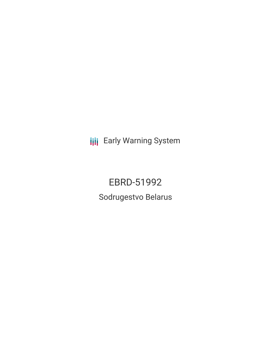**III** Early Warning System

EBRD-51992 Sodrugestvo Belarus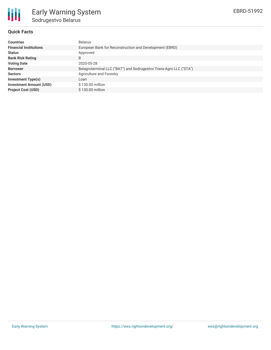

## **Quick Facts**

| <b>Countries</b>               | <b>Belarus</b>                                                     |
|--------------------------------|--------------------------------------------------------------------|
| <b>Financial Institutions</b>  | European Bank for Reconstruction and Development (EBRD)            |
| <b>Status</b>                  | Approved                                                           |
| <b>Bank Risk Rating</b>        | B                                                                  |
| <b>Voting Date</b>             | 2020-05-28                                                         |
| <b>Borrower</b>                | Belagroterminal LLC ("BAT") and Sodrugestvo Trans-Agro LLC ("STA") |
| <b>Sectors</b>                 | Agriculture and Forestry                                           |
| <b>Investment Type(s)</b>      | Loan                                                               |
| <b>Investment Amount (USD)</b> | \$130.00 million                                                   |
| <b>Project Cost (USD)</b>      | \$130.00 million                                                   |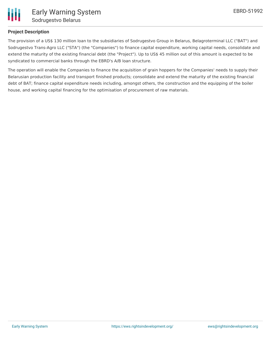

#### **Project Description**

The provision of a US\$ 130 million loan to the subsidiaries of Sodrugestvo Group in Belarus, Belagroterminal LLC ("BAT") and Sodrugestvo Trans-Agro LLC ("STA") (the "Companies") to finance capital expenditure, working capital needs, consolidate and extend the maturity of the existing financial debt (the "Project"). Up to US\$ 45 million out of this amount is expected to be syndicated to commercial banks through the EBRD's A/B loan structure.

The operation will enable the Companies to finance the acquisition of grain hoppers for the Companies' needs to supply their Belarusian production facility and transport finished products; consolidate and extend the maturity of the existing financial debt of BAT; finance capital expenditure needs including, amongst others, the construction and the equipping of the boiler house, and working capital financing for the optimisation of procurement of raw materials.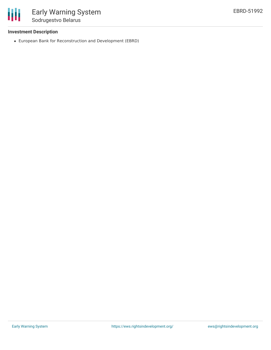

# **Investment Description**

European Bank for Reconstruction and Development (EBRD)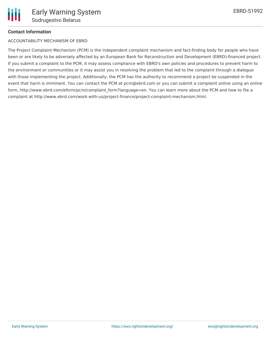# **Contact Information**

# ACCOUNTABILITY MECHANISM OF EBRD

The Project Complaint Mechanism (PCM) is the independent complaint mechanism and fact-finding body for people who have been or are likely to be adversely affected by an European Bank for Reconstruction and Development (EBRD)-financed project. If you submit a complaint to the PCM, it may assess compliance with EBRD's own policies and procedures to prevent harm to the environment or communities or it may assist you in resolving the problem that led to the complaint through a dialogue with those implementing the project. Additionally, the PCM has the authority to recommend a project be suspended in the event that harm is imminent. You can contact the PCM at pcm@ebrd.com or you can submit a complaint online using an online form, http://www.ebrd.com/eform/pcm/complaint form?language=en. You can learn more about the PCM and how to file a complaint at http://www.ebrd.com/work-with-us/project-finance/project-complaint-mechanism.html.